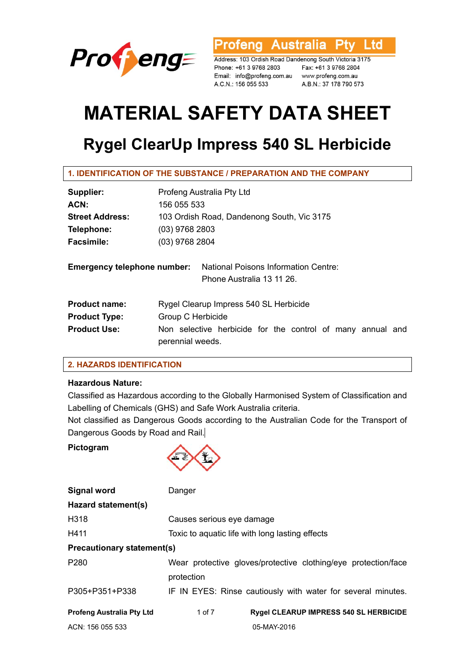

Ltd rofeng Australia **Ptv** 

Address: 103 Ordish Road Dandenong South Victoria 3175 Phone: +61 3 9768 2803 Email: info@profeng.com.au www.profeng.com.au A.C.N.: 156 055 533

Fax: +61 3 9768 2804 A.B.N.: 37 178 790 573

# **MATERIAL SAFETY DATA SHEET**

# **Rygel ClearUp Impress 540 SL Herbicide**

| 1. IDENTIFICATION OF THE SUBSTANCE / PREPARATION AND THE COMPANY |  |  |
|------------------------------------------------------------------|--|--|
|                                                                  |  |  |

| Supplier:                          | Profeng Australia Pty Ltd                                                      |  |  |
|------------------------------------|--------------------------------------------------------------------------------|--|--|
| ACN:                               | 156 055 533                                                                    |  |  |
| <b>Street Address:</b>             | 103 Ordish Road, Dandenong South, Vic 3175                                     |  |  |
| Telephone:                         | $(03)$ 9768 2803                                                               |  |  |
| <b>Facsimile:</b>                  | $(03)$ 9768 2804                                                               |  |  |
| <b>Emergency telephone number:</b> | <b>National Poisons Information Centre:</b><br>Phone Australia 13 11 26.       |  |  |
| <b>Product name:</b>               | Rygel Clearup Impress 540 SL Herbicide                                         |  |  |
| <b>Product Type:</b>               | Group C Herbicide                                                              |  |  |
| <b>Product Use:</b>                | Non selective herbicide for the control of many annual and<br>perennial weeds. |  |  |

# **2. HAZARDS IDENTIFICATION**

# **Hazardous Nature:**

Classified as Hazardous according to the Globally Harmonised System of Classification and Labelling of Chemicals (GHS) and Safe Work Australia criteria.

Not classified as Dangerous Goods according to the Australian Code for the Transport of Dangerous Goods by Road and Rail.

#### **Pictogram**



| <b>Signal word</b>                                                                 | Danger                                                       |  |  |  |
|------------------------------------------------------------------------------------|--------------------------------------------------------------|--|--|--|
| Hazard statement(s)                                                                |                                                              |  |  |  |
| H318                                                                               | Causes serious eye damage                                    |  |  |  |
| H411                                                                               | Toxic to aquatic life with long lasting effects              |  |  |  |
| <b>Precautionary statement(s)</b>                                                  |                                                              |  |  |  |
| P <sub>280</sub><br>Wear protective gloves/protective clothing/eye protection/face |                                                              |  |  |  |
|                                                                                    | protection                                                   |  |  |  |
| P305+P351+P338                                                                     | IF IN EYES: Rinse cautiously with water for several minutes. |  |  |  |
| <b>Profeng Australia Pty Ltd</b>                                                   | <b>Rygel CLEARUP IMPRESS 540 SL HERBICIDE</b><br>1 of 7      |  |  |  |
| ACN: 156 055 533                                                                   | 05-MAY-2016                                                  |  |  |  |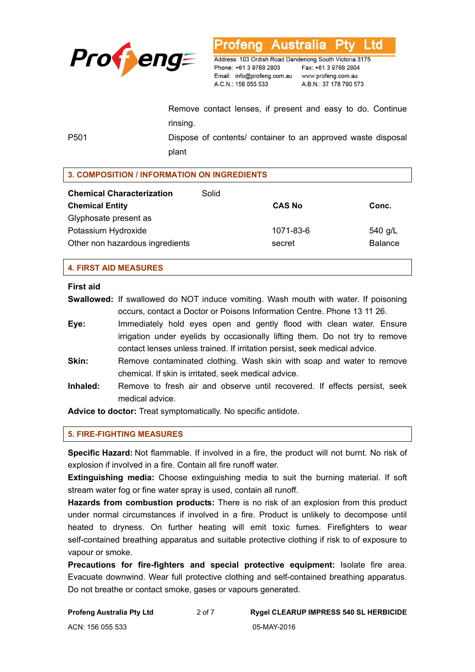

**Australia** L td ofena

Address: 103 Ordish Road Dandenong South Victoria 3175 Phone: +61 3 9768 2803 Email: info@profeng.com.au A.C.N.: 156 055 533

Fax: +61 3 9768 2804 www.profeng.com.au A.B.N.: 37 178 790 573

Remove contact lenses, if present and easy to do. Continue rinsing.

P501 Dispose of contents/ container to an approved waste disposal plant

# **3. COMPOSITION / INFORMATION ON INGREDIENTS**

| <b>Chemical Characterization</b> | Solid |               |                |
|----------------------------------|-------|---------------|----------------|
| <b>Chemical Entity</b>           |       | <b>CAS No</b> | Conc.          |
| Glyphosate present as            |       |               |                |
| Potassium Hydroxide              |       | 1071-83-6     | 540 g/L        |
| Other non hazardous ingredients  |       | secret        | <b>Balance</b> |

#### **4. FIRST AID MEASURES**

#### **First aid**

**Swallowed:** If swallowed do NOT induce vomiting. Wash mouth with water. If poisoning occurs, contact a Doctor or Poisons Information Centre. Phone 13 11 26.

- **Eye:** Immediately hold eyes open and gently flood with clean water. Ensure irrigation under eyelids by occasionally lifting them. Do not try to remove contact lenses unless trained. If irritation persist, seek medical advice.
- **Skin:** Remove contaminated clothing. Wash skin with soap and water to remove chemical. If skin is irritated, seek medical advice.
- **Inhaled:** Remove to fresh air and observe until recovered. If effects persist, seek medical advice.

**Advice to doctor:** Treat symptomatically. No specific antidote.

# **5. FIRE-FIGHTING MEASURES**

**Specific Hazard:** Not flammable. If involved in a fire, the product will not burnt. No risk of explosion if involved in a fire. Contain all fire runoff water.

**Extinguishing media:** Choose extinguishing media to suit the burning material. If soft stream water fog or fine water spray is used, contain all runoff.

**Hazards from combustion products:** There is no risk of an explosion from this product under normal circumstances if involved in a fire. Product is unlikely to decompose until heated to dryness. On further heating will emit toxic fumes. Firefighters to wear self-contained breathing apparatus and suitable protective clothing if risk to of exposure to vapour or smoke.

**Precautions for fire-fighters and special protective equipment:** Isolate fire area. Evacuate downwind. Wear full protective clothing and self-contained breathing apparatus. Do not breathe or contact smoke, gases or vapours generated.

**Profeng Australia Pty Ltd** 2 of 7 **Rygel CLEARUP IMPRESS 540 SL HERBICIDE**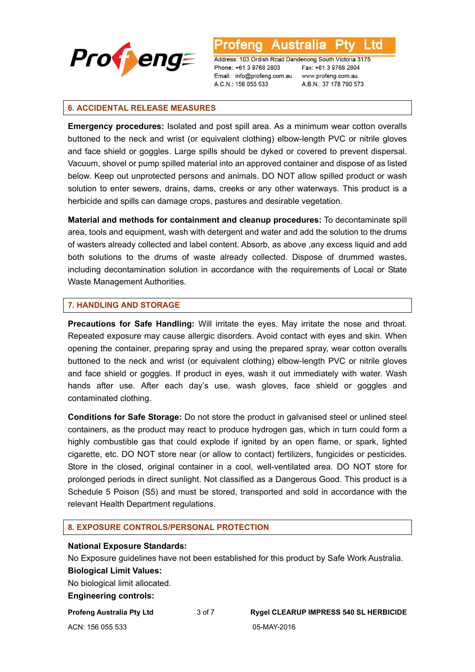

L td

Address: 103 Ordish Road Dandenong South Victoria 3175 Phone: +61 3 9768 2803 Email: info@profeng.com.au A.C.N.: 156 055 533

Fax: +61 3 9768 2804 www.profeng.com.au A.B.N.: 37 178 790 573

#### **6. ACCIDENTAL RELEASE MEASURES**

**Emergency procedures:** Isolated and post spill area. As a minimum wear cotton overalls buttoned to the neck and wrist (or equivalent clothing) elbow-length PVC or nitrile gloves and face shield or goggles. Large spills should be dyked or covered to prevent dispersal. Vacuum, shovel or pump spilled material into an approved container and dispose of as listed below. Keep out unprotected persons and animals. DO NOT allow spilled product or wash solution to enter sewers, drains, dams, creeks or any other waterways. This product is a herbicide and spills can damage crops, pastures and desirable vegetation.

**Material and methods for containment and cleanup procedures:** To decontaminate spill area, tools and equipment, wash with detergent and water and add the solution to the drums of wasters already collected and label content. Absorb, as above ,any excess liquid and add both solutions to the drums of waste already collected. Dispose of drummed wastes, including decontamination solution in accordance with the requirements of Local or State Waste Management Authorities.

#### **7. HANDLING AND STORAGE**

**Precautions for Safe Handling:** Will irritate the eyes. May irritate the nose and throat. Repeated exposure may cause allergic disorders. Avoid contact with eyes and skin. When opening the container, preparing spray and using the prepared spray, wear cotton overalls buttoned to the neck and wrist (or equivalent clothing) elbow-length PVC or nitrile gloves and face shield or goggles. If product in eyes, wash it out immediately with water. Wash hands after use. After each day's use, wash gloves, face shield or goggles and contaminated clothing.

**Conditions for Safe Storage:** Do not store the product in galvanised steel or unlined steel containers, as the product may react to produce hydrogen gas, which in turn could form a highly combustible gas that could explode if ignited by an open flame, or spark, lighted cigarette, etc. DO NOT store near (or allow to contact) fertilizers, fungicides or pesticides. Store in the closed, original container in a cool, well-ventilated area. DO NOT store for prolonged periods in direct sunlight. Not classified as a Dangerous Good. This product is a Schedule 5 Poison (S5) and must be stored, transported and sold in accordance with the relevant Health Department regulations.

#### **8. EXPOSURE CONTROLS/PERSONAL PROTECTION**

#### **National Exposure Standards:**

No Exposure guidelines have not been established for this product by Safe Work Australia. **Biological Limit Values:** 

No biological limit allocated.

#### **Engineering controls:**

ACN: 156 055 533 05-MAY-2016

**Profeng Australia Pty Ltd** 3 of 7 **Rygel CLEARUP IMPRESS 540 SL HERBICIDE**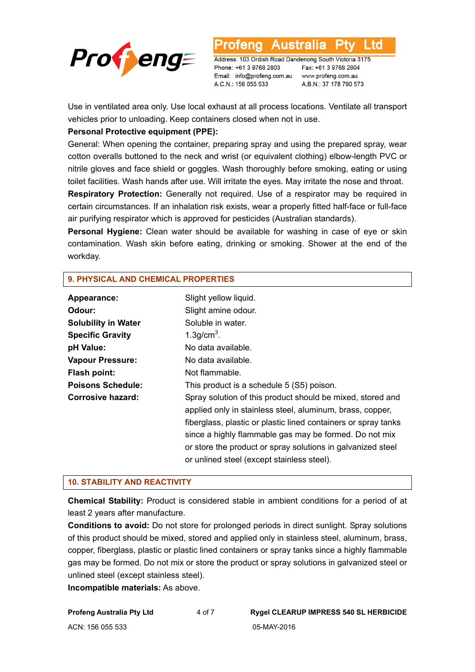

L to

Address: 103 Ordish Road Dandenong South Victoria 3175 Phone: +61 3 9768 2803 Email: info@profeng.com.au A.C.N.: 156 055 533

Fax: +61 3 9768 2804 www.profeng.com.au A.B.N.: 37 178 790 573

Use in ventilated area only. Use local exhaust at all process locations. Ventilate all transport vehicles prior to unloading. Keep containers closed when not in use.

# **Personal Protective equipment (PPE):**

General: When opening the container, preparing spray and using the prepared spray, wear cotton overalls buttoned to the neck and wrist (or equivalent clothing) elbow-length PVC or nitrile gloves and face shield or goggles. Wash thoroughly before smoking, eating or using toilet facilities. Wash hands after use. Will irritate the eyes. May irritate the nose and throat.

**Respiratory Protection:** Generally not required. Use of a respirator may be required in certain circumstances. If an inhalation risk exists, wear a properly fitted half-face or full-face air purifying respirator which is approved for pesticides (Australian standards).

**Personal Hygiene:** Clean water should be available for washing in case of eye or skin contamination. Wash skin before eating, drinking or smoking. Shower at the end of the workday.

# **9. PHYSICAL AND CHEMICAL PROPERTIES**

| Appearance:                | Slight yellow liquid.                                          |
|----------------------------|----------------------------------------------------------------|
| Odour:                     | Slight amine odour.                                            |
| <b>Solubility in Water</b> | Soluble in water.                                              |
| <b>Specific Gravity</b>    | $1.3$ g/cm <sup>3</sup> .                                      |
| pH Value:                  | No data available.                                             |
| <b>Vapour Pressure:</b>    | No data available.                                             |
| <b>Flash point:</b>        | Not flammable.                                                 |
| <b>Poisons Schedule:</b>   | This product is a schedule 5 (S5) poison.                      |
| <b>Corrosive hazard:</b>   | Spray solution of this product should be mixed, stored and     |
|                            | applied only in stainless steel, aluminum, brass, copper,      |
|                            | fiberglass, plastic or plastic lined containers or spray tanks |
|                            | since a highly flammable gas may be formed. Do not mix         |
|                            | or store the product or spray solutions in galvanized steel    |
|                            | or unlined steel (except stainless steel).                     |

#### **10. STABILITY AND REACTIVITY**

**Chemical Stability:** Product is considered stable in ambient conditions for a period of at least 2 years after manufacture.

**Conditions to avoid:** Do not store for prolonged periods in direct sunlight. Spray solutions of this product should be mixed, stored and applied only in stainless steel, aluminum, brass, copper, fiberglass, plastic or plastic lined containers or spray tanks since a highly flammable gas may be formed. Do not mix or store the product or spray solutions in galvanized steel or unlined steel (except stainless steel).

**Incompatible materials:** As above.

**Profeng Australia Pty Ltd** 4 of 7 **Rygel CLEARUP IMPRESS 540 SL HERBICIDE**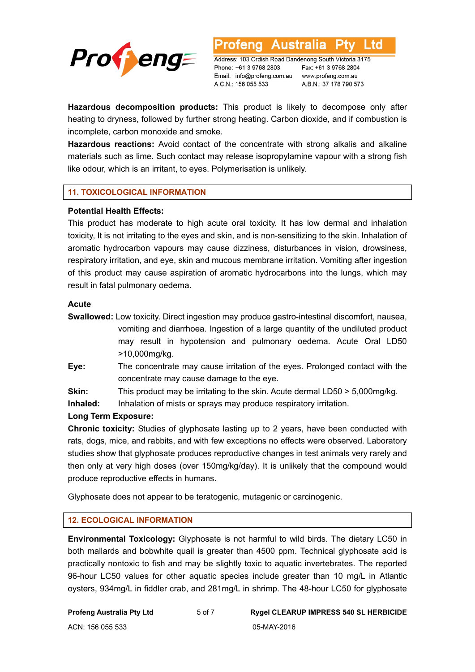

Address: 103 Ordish Road Dandenong South Victoria 3175 Phone: +61 3 9768 2803 Email: info@profeng.com.au A.C.N.: 156 055 533

Fax: +61 3 9768 2804 www.profeng.com.au A.B.N.: 37 178 790 573

L td

**Hazardous decomposition products:** This product is likely to decompose only after heating to dryness, followed by further strong heating. Carbon dioxide, and if combustion is incomplete, carbon monoxide and smoke.

**Hazardous reactions:** Avoid contact of the concentrate with strong alkalis and alkaline materials such as lime. Such contact may release isopropylamine vapour with a strong fish like odour, which is an irritant, to eyes. Polymerisation is unlikely.

# **11. TOXICOLOGICAL INFORMATION**

# **Potential Health Effects:**

This product has moderate to high acute oral toxicity. It has low dermal and inhalation toxicity, It is not irritating to the eyes and skin, and is non-sensitizing to the skin. Inhalation of aromatic hydrocarbon vapours may cause dizziness, disturbances in vision, drowsiness, respiratory irritation, and eye, skin and mucous membrane irritation. Vomiting after ingestion of this product may cause aspiration of aromatic hydrocarbons into the lungs, which may result in fatal pulmonary oedema.

# **Acute**

- **Swallowed:** Low toxicity. Direct ingestion may produce gastro-intestinal discomfort, nausea, vomiting and diarrhoea. Ingestion of a large quantity of the undiluted product may result in hypotension and pulmonary oedema. Acute Oral LD50 >10,000mg/kg.
- **Eye:** The concentrate may cause irritation of the eyes. Prolonged contact with the concentrate may cause damage to the eye.
- **Skin:** This product may be irritating to the skin. Acute dermal LD50 > 5,000mg/kg.

**Inhaled:** Inhalation of mists or sprays may produce respiratory irritation.

# **Long Term Exposure:**

**Chronic toxicity:** Studies of glyphosate lasting up to 2 years, have been conducted with rats, dogs, mice, and rabbits, and with few exceptions no effects were observed. Laboratory studies show that glyphosate produces reproductive changes in test animals very rarely and then only at very high doses (over 150mg/kg/day). It is unlikely that the compound would produce reproductive effects in humans.

Glyphosate does not appear to be teratogenic, mutagenic or carcinogenic.

# **12. ECOLOGICAL INFORMATION**

**Environmental Toxicology:** Glyphosate is not harmful to wild birds. The dietary LC50 in both mallards and bobwhite quail is greater than 4500 ppm. Technical glyphosate acid is practically nontoxic to fish and may be slightly toxic to aquatic invertebrates. The reported 96-hour LC50 values for other aquatic species include greater than 10 mg/L in Atlantic oysters, 934mg/L in fiddler crab, and 281mg/L in shrimp. The 48-hour LC50 for glyphosate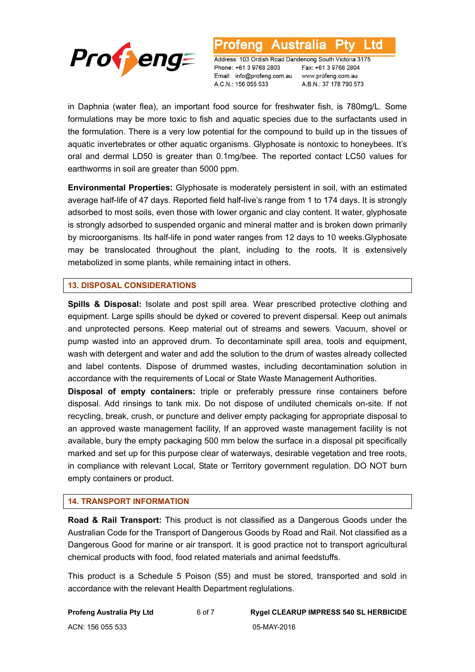

l td

Address: 103 Ordish Road Dandenong South Victoria 3175 Phone: +61 3 9768 2803 Email: info@profeng.com.au A.C.N.: 156 055 533

Fax: +61 3 9768 2804 www.profeng.com.au A.B.N.: 37 178 790 573

in Daphnia (water flea), an important food source for freshwater fish, is 780mg/L. Some formulations may be more toxic to fish and aquatic species due to the surfactants used in the formulation. There is a very low potential for the compound to build up in the tissues of aquatic invertebrates or other aquatic organisms. Glyphosate is nontoxic to honeybees. It's oral and dermal LD50 is greater than 0.1mg/bee. The reported contact LC50 values for earthworms in soil are greater than 5000 ppm.

**Environmental Properties:** Glyphosate is moderately persistent in soil, with an estimated average half-life of 47 days. Reported field half-live's range from 1 to 174 days. It is strongly adsorbed to most soils, even those with lower organic and clay content. It water, glyphosate is strongly adsorbed to suspended organic and mineral matter and is broken down primarily by microorganisms. Its half-life in pond water ranges from 12 days to 10 weeks.Glyphosate may be translocated throughout the plant, including to the roots. It is extensively metabolized in some plants, while remaining intact in others.

# **13. DISPOSAL CONSIDERATIONS**

**Spills & Disposal:** Isolate and post spill area. Wear prescribed protective clothing and equipment. Large spills should be dyked or covered to prevent dispersal. Keep out animals and unprotected persons. Keep material out of streams and sewers. Vacuum, shovel or pump wasted into an approved drum. To decontaminate spill area, tools and equipment, wash with detergent and water and add the solution to the drum of wastes already collected and label contents. Dispose of drummed wastes, including decontamination solution in accordance with the requirements of Local or State Waste Management Authorities.

**Disposal of empty containers:** triple or preferably pressure rinse containers before disposal. Add rinsings to tank mix. Do not dispose of undiluted chemicals on-site. If not recycling, break, crush, or puncture and deliver empty packaging for appropriate disposal to an approved waste management facility, If an approved waste management facility is not available, bury the empty packaging 500 mm below the surface in a disposal pit specifically marked and set up for this purpose clear of waterways, desirable vegetation and tree roots, in compliance with relevant Local, State or Territory government regulation. DO NOT burn empty containers or product.

#### **14. TRANSPORT INFORMATION**

**Road & Rail Transport:** This product is not classified as a Dangerous Goods under the Australian Code for the Transport of Dangerous Goods by Road and Rail. Not classified as a Dangerous Good for marine or air transport. It is good practice not to transport agricultural chemical products with food, food related materials and animal feedstuffs.

This product is a Schedule 5 Poison (S5) and must be stored, transported and sold in accordance with the relevant Health Department reglulations.

ACN: 156 055 533 05-MAY-2016

**Profeng Australia Pty Ltd** 6 of 7 **Rygel CLEARUP IMPRESS 540 SL HERBICIDE**